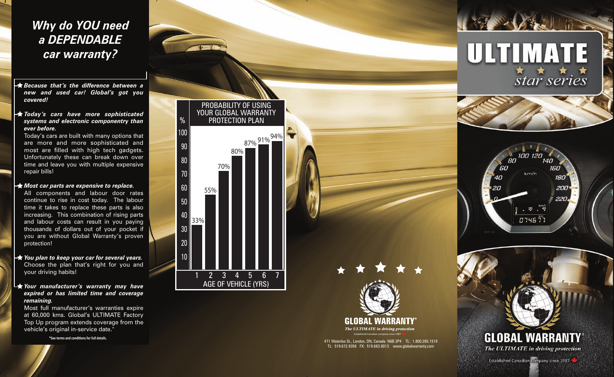## *Why do YOU need a DEPENDABLE car warranty?*

- *Because that's the difference between a new and used car! Global's got you covered!*
- *Today's cars have more sophisticated systems and electronic componentry than ever before.*

Today's cars are built with many options that are more and more sophisticated and most are filled with high tech gadgets. Unfortunately these can break down over time and leave you with multiple expensive repair bills!

## *Most car parts are expensive to replace.*

All components and labour door rates continue to rise in cost today. The labour time it takes to replace these parts is also increasing. This combination of rising parts and labour costs can result in you paying thousands of dollars out of your pocket if you are without Global Warranty's proven protection!

- *You plan to keep your car for several years.* Choose the plan that's right for you and your driving habits!
- *Your manufacturer's warranty may have expired or has limited time and coverage remaining.*

Most full manufacturer's warranties expire at 60,000 kms. Global's ULTIMATE Factory Top Up program extends coverage from the vehicle's original in-service date.\*

**\*See terms and conditions for full details.**





471 Waterloo St., London, ON, Canada N6B 2P4 TL: 1.800.265.1519 TL: 519.672.9356 FX: 519.663.8013 www.globalwarranty.com